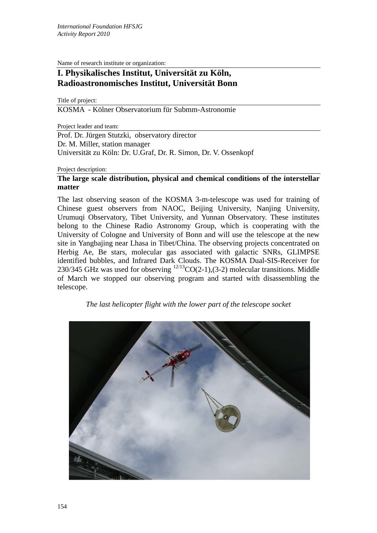Name of research institute or organization:

## **I. Physikalisches Institut, Universität zu Köln, Radioastronomisches Institut, Universität Bonn**

Title of project:

KOSMA - Kölner Observatorium für Submm-Astronomie

Project leader and team:

Prof. Dr. Jürgen Stutzki, observatory director Dr. M. Miller, station manager Universität zu Köln: Dr. U.Graf, Dr. R. Simon, Dr. V. Ossenkopf

Project description:

## **The large scale distribution, physical and chemical conditions of the interstellar matter**

The last observing season of the KOSMA 3-m-telescope was used for training of Chinese guest observers from NAOC, Beijing University, Nanjing University, Urumuqi Observatory, Tibet University, and Yunnan Observatory. These institutes belong to the Chinese Radio Astronomy Group, which is cooperating with the University of Cologne and University of Bonn and will use the telescope at the new site in Yangbajing near Lhasa in Tibet/China. The observing projects concentrated on Herbig Ae, Be stars, molecular gas associated with galactic SNRs, GLIMPSE identified bubbles, and Infrared Dark Clouds. The KOSMA Dual-SIS-Receiver for 230/345 GHz was used for observing  $^{12/13}CO(2-1),(3-2)$  molecular transitions. Middle of March we stopped our observing program and started with disassembling the telescope.

*The last helicopter flight with the lower part of the telescope socket* 

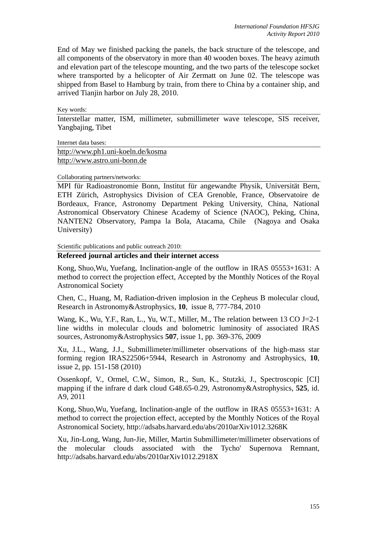End of May we finished packing the panels, the back structure of the telescope, and all components of the observatory in more than 40 wooden boxes. The heavy azimuth and elevation part of the telescope mounting, and the two parts of the telescope socket where transported by a helicopter of Air Zermatt on June 02. The telescope was shipped from Basel to Hamburg by train, from there to China by a container ship, and arrived Tianjin harbor on July 28, 2010.

Key words:

Interstellar matter, ISM, millimeter, submillimeter wave telescope, SIS receiver, Yangbajing, Tibet

Internet data bases: http://www.ph1.uni-koeln.de/kosma http://www.astro.uni-bonn.de

Collaborating partners/networks:

MPI für Radioastronomie Bonn, Institut für angewandte Physik, Universität Bern, ETH Zürich, Astrophysics Division of CEA Grenoble, France, Observatoire de Bordeaux, France, Astronomy Department Peking University, China, National Astronomical Observatory Chinese Academy of Science (NAOC), Peking, China, NANTEN2 Observatory, Pampa la Bola, Atacama, Chile (Nagoya and Osaka University)

Scientific publications and public outreach 2010:

## **Refereed journal articles and their internet access**

Kong, Shuo,Wu, Yuefang, Inclination-angle of the outflow in IRAS 05553+1631: A method to correct the projection effect, Accepted by the Monthly Notices of the Royal Astronomical Society

Chen, C., Huang, M, Radiation-driven implosion in the Cepheus B molecular cloud, Research in Astronomy&Astrophysics, **10**, issue 8, 777-784, 2010

Wang, K., Wu, Y.F., Ran, L., Yu, W.T., Miller, M., The relation between 13 CO J=2-1 line widths in molecular clouds and bolometric luminosity of associated IRAS sources, Astronomy&Astrophysics **507**, issue 1, pp. 369-376, 2009

Xu, J.L., Wang, J.J., Submillimeter/millimeter observations of the high-mass star forming region IRAS22506+5944, Research in Astronomy and Astrophysics, **10**, issue 2, pp. 151-158 (2010)

Ossenkopf, V., Ormel, C.W., Simon, R., Sun, K., Stutzki, J., Spectroscopic [CI] mapping if the infrare d dark cloud G48.65-0.29, Astronomy&Astrophysics, **525**, id. A9, 2011

Kong, Shuo,Wu, Yuefang, Inclination-angle of the outflow in IRAS 05553+1631: A method to correct the projection effect, accepted by the Monthly Notices of the Royal Astronomical Society, http://adsabs.harvard.edu/abs/2010arXiv1012.3268K

Xu, Jin-Long, Wang, Jun-Jie, Miller, Martin Submillimeter/millimeter observations of the molecular clouds associated with the Tycho' Supernova Remnant, http://adsabs.harvard.edu/abs/2010arXiv1012.2918X